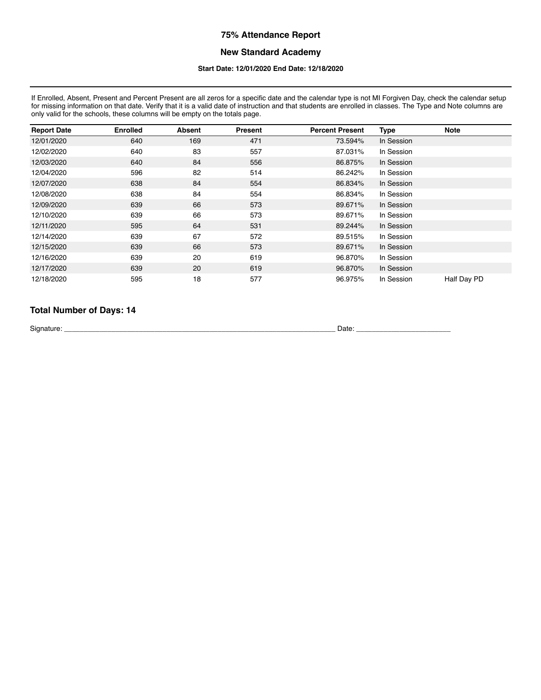#### **New Standard Academy**

#### **Start Date: 12/01/2020 End Date: 12/18/2020**

If Enrolled, Absent, Present and Percent Present are all zeros for a specific date and the calendar type is not MI Forgiven Day, check the calendar setup for missing information on that date. Verify that it is a valid date of instruction and that students are enrolled in classes. The Type and Note columns are only valid for the schools, these columns will be empty on the totals page.

| <b>Report Date</b> | <b>Enrolled</b> | <b>Absent</b> | Present | <b>Percent Present</b> | <b>Type</b> | <b>Note</b> |
|--------------------|-----------------|---------------|---------|------------------------|-------------|-------------|
| 12/01/2020         | 640             | 169           | 471     | 73.594%                | In Session  |             |
| 12/02/2020         | 640             | 83            | 557     | 87.031%                | In Session  |             |
| 12/03/2020         | 640             | 84            | 556     | 86.875%                | In Session  |             |
| 12/04/2020         | 596             | 82            | 514     | 86.242%                | In Session  |             |
| 12/07/2020         | 638             | 84            | 554     | 86.834%                | In Session  |             |
| 12/08/2020         | 638             | 84            | 554     | 86.834%                | In Session  |             |
| 12/09/2020         | 639             | 66            | 573     | 89.671%                | In Session  |             |
| 12/10/2020         | 639             | 66            | 573     | 89.671%                | In Session  |             |
| 12/11/2020         | 595             | 64            | 531     | 89.244%                | In Session  |             |
| 12/14/2020         | 639             | 67            | 572     | 89.515%                | In Session  |             |
| 12/15/2020         | 639             | 66            | 573     | 89.671%                | In Session  |             |
| 12/16/2020         | 639             | 20            | 619     | 96.870%                | In Session  |             |
| 12/17/2020         | 639             | 20            | 619     | 96.870%                | In Session  |             |
| 12/18/2020         | 595             | 18            | 577     | 96.975%                | In Session  | Half Day PD |

## **Total Number of Days: 14**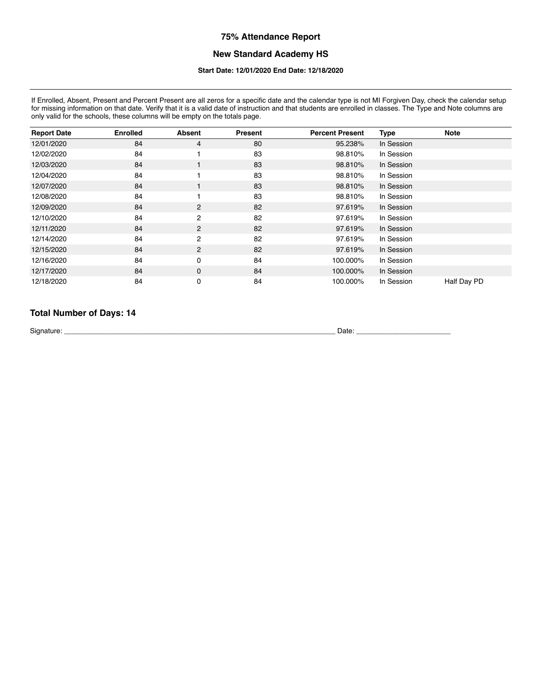# **New Standard Academy HS**

#### **Start Date: 12/01/2020 End Date: 12/18/2020**

If Enrolled, Absent, Present and Percent Present are all zeros for a specific date and the calendar type is not MI Forgiven Day, check the calendar setup for missing information on that date. Verify that it is a valid date of instruction and that students are enrolled in classes. The Type and Note columns are for missing information on that date. Verify that it is a valid d only valid for the schools, these columns will be empty on the totals page.

| <b>Report Date</b> | <b>Enrolled</b> | <b>Absent</b>  | Present | <b>Percent Present</b> | <b>Type</b> | <b>Note</b> |
|--------------------|-----------------|----------------|---------|------------------------|-------------|-------------|
| 12/01/2020         | 84              | $\overline{4}$ | 80      | 95.238%                | In Session  |             |
| 12/02/2020         | 84              |                | 83      | 98.810%                | In Session  |             |
| 12/03/2020         | 84              | 1              | 83      | 98.810%                | In Session  |             |
| 12/04/2020         | 84              |                | 83      | 98.810%                | In Session  |             |
| 12/07/2020         | 84              |                | 83      | 98.810%                | In Session  |             |
| 12/08/2020         | 84              |                | 83      | 98.810%                | In Session  |             |
| 12/09/2020         | 84              | $\overline{2}$ | 82      | 97.619%                | In Session  |             |
| 12/10/2020         | 84              | $\overline{c}$ | 82      | 97.619%                | In Session  |             |
| 12/11/2020         | 84              | $\overline{2}$ | 82      | 97.619%                | In Session  |             |
| 12/14/2020         | 84              | $\overline{2}$ | 82      | 97.619%                | In Session  |             |
| 12/15/2020         | 84              | $\overline{2}$ | 82      | 97.619%                | In Session  |             |
| 12/16/2020         | 84              | 0              | 84      | 100.000%               | In Session  |             |
| 12/17/2020         | 84              | 0              | 84      | 100.000%               | In Session  |             |
| 12/18/2020         | 84              | 0              | 84      | 100.000%               | In Session  | Half Day PD |

# **Total Number of Days: 14**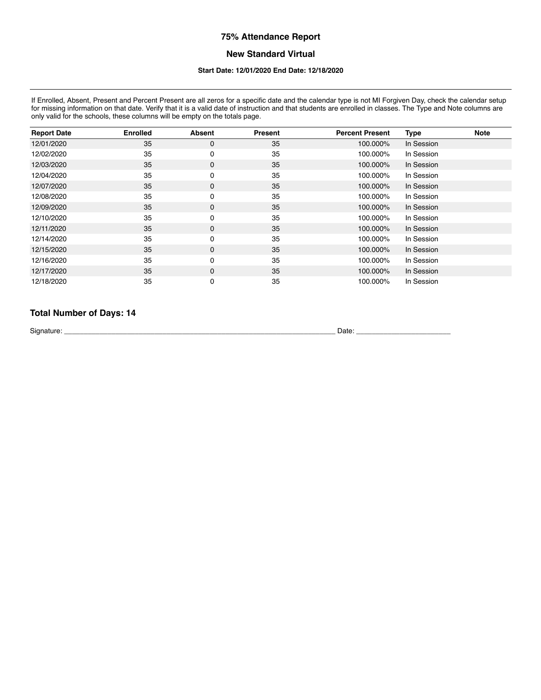## **New Standard Virtual**

# **Start Date: 12/01/2020 End Date: 12/18/2020**

If Enrolled, Absent, Present and Percent Present are all zeros for a specific date and the calendar type is not MI Forgiven Day, check the calendar setup for missing information on that date. Verify that it is a valid date of instruction and that students are enrolled in classes. The Type and Note columns are for missing information on that date. Verify that it is a valid d only valid for the schools, these columns will be empty on the totals page.

| <b>Report Date</b> | <b>Enrolled</b> | <b>Absent</b> | <b>Present</b> | <b>Percent Present</b> | <b>Type</b> | <b>Note</b> |
|--------------------|-----------------|---------------|----------------|------------------------|-------------|-------------|
| 12/01/2020         | 35              | 0             | 35             | 100.000%               | In Session  |             |
| 12/02/2020         | 35              | 0             | 35             | 100.000%               | In Session  |             |
| 12/03/2020         | 35              | $\mathbf 0$   | 35             | 100.000%               | In Session  |             |
| 12/04/2020         | 35              | 0             | 35             | 100.000%               | In Session  |             |
| 12/07/2020         | 35              | $\mathbf 0$   | 35             | 100.000%               | In Session  |             |
| 12/08/2020         | 35              | 0             | 35             | 100.000%               | In Session  |             |
| 12/09/2020         | 35              | $\mathbf 0$   | 35             | 100.000%               | In Session  |             |
| 12/10/2020         | 35              | 0             | 35             | 100.000%               | In Session  |             |
| 12/11/2020         | 35              | 0             | 35             | 100.000%               | In Session  |             |
| 12/14/2020         | 35              | $\pmb{0}$     | 35             | 100.000%               | In Session  |             |
| 12/15/2020         | 35              | 0             | 35             | 100.000%               | In Session  |             |
| 12/16/2020         | 35              | 0             | 35             | 100.000%               | In Session  |             |
| 12/17/2020         | 35              | 0             | 35             | 100.000%               | In Session  |             |
| 12/18/2020         | 35              | 0             | 35             | 100.000%               | In Session  |             |

# **Total Number of Days: 14**